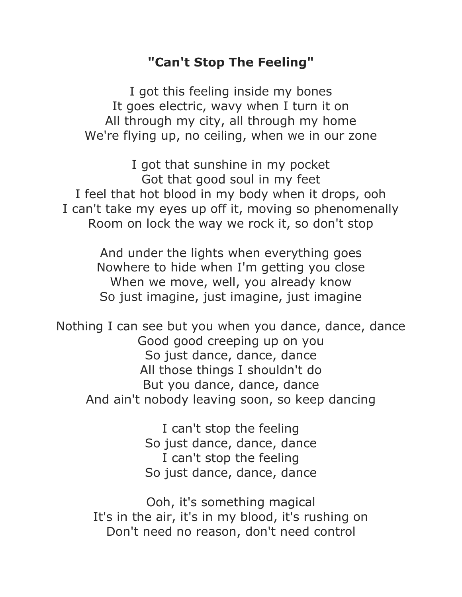## **"Can't Stop The Feeling"**

I got this feeling inside my bones It goes electric, wavy when I turn it on All through my city, all through my home We're flying up, no ceiling, when we in our zone

I got that sunshine in my pocket Got that good soul in my feet I feel that hot blood in my body when it drops, ooh I can't take my eyes up off it, moving so phenomenally Room on lock the way we rock it, so don't stop

> And under the lights when everything goes Nowhere to hide when I'm getting you close When we move, well, you already know So just imagine, just imagine, just imagine

Nothing I can see but you when you dance, dance, dance Good good creeping up on you So just dance, dance, dance All those things I shouldn't do But you dance, dance, dance And ain't nobody leaving soon, so keep dancing

> I can't stop the feeling So just dance, dance, dance I can't stop the feeling So just dance, dance, dance

Ooh, it's something magical It's in the air, it's in my blood, it's rushing on Don't need no reason, don't need control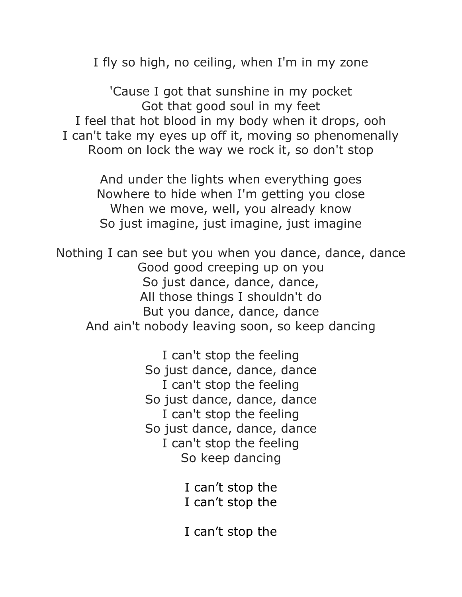I fly so high, no ceiling, when I'm in my zone

'Cause I got that sunshine in my pocket Got that good soul in my feet I feel that hot blood in my body when it drops, ooh I can't take my eyes up off it, moving so phenomenally Room on lock the way we rock it, so don't stop

> And under the lights when everything goes Nowhere to hide when I'm getting you close When we move, well, you already know So just imagine, just imagine, just imagine

Nothing I can see but you when you dance, dance, dance Good good creeping up on you So just dance, dance, dance, All those things I shouldn't do But you dance, dance, dance And ain't nobody leaving soon, so keep dancing

> I can't stop the feeling So just dance, dance, dance I can't stop the feeling So just dance, dance, dance I can't stop the feeling So just dance, dance, dance I can't stop the feeling So keep dancing

> > I can't stop the I can't stop the

> > I can't stop the